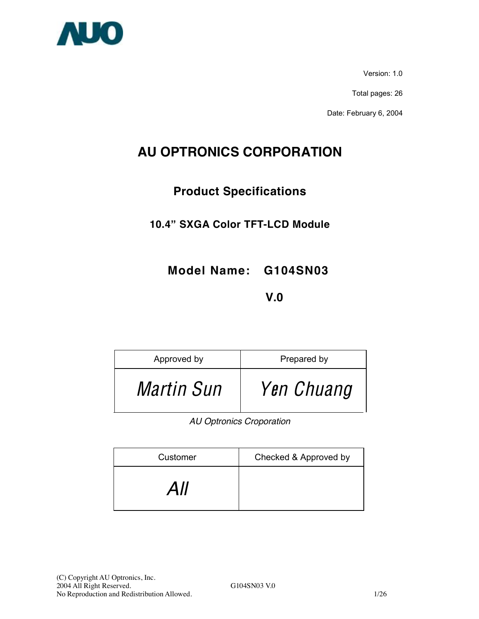

Version: 1.0

Total pages: 26

Date: February 6, 2004

# **AU OPTRONICS CORPORATION**

## **Product Specifications**

## **10.4" SXGA Color TFT-LCD Module**

**Model Name: G104SN03** 

## **V.0**

| Approved by       | Prepared by |
|-------------------|-------------|
| <i>Martin Sun</i> | Yen Chuang  |

*AU Optronics Croporation* 

| Customer | Checked & Approved by |
|----------|-----------------------|
| All      |                       |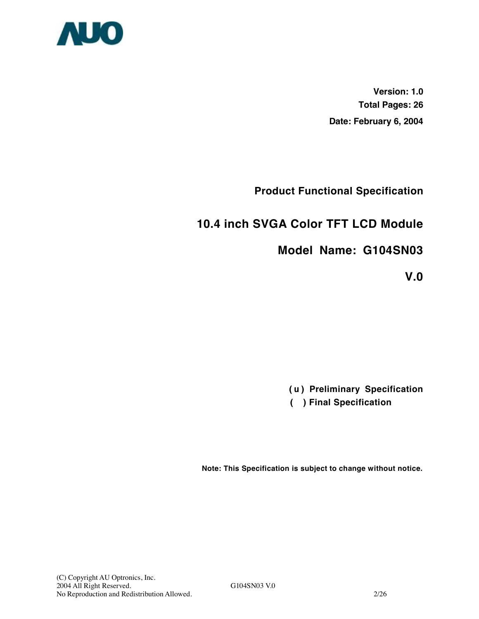

**Version: 1.0 Total Pages: 26 Date: February 6, 2004**

**Product Functional Specification** 

## **10.4 inch SVGA Color TFT LCD Module**

## **Model Name: G104SN03**

**V.0** 

**(** u **) Preliminary Specification**

 **( ) Final Specification**

**Note: This Specification is subject to change without notice.**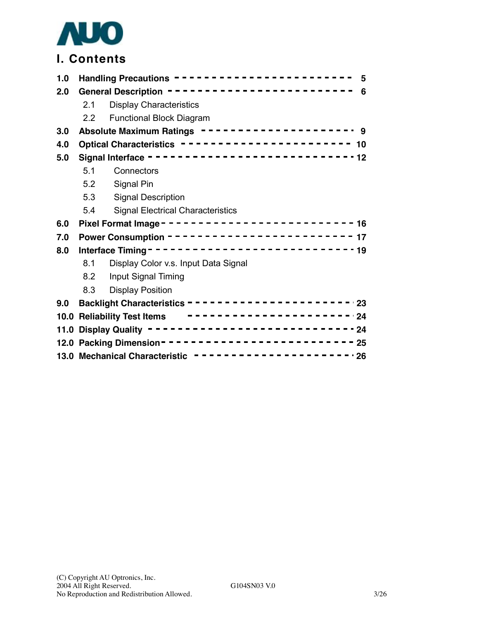

# **I. Contents**

| 1.0 | Handling Precautions ------------------------<br>5       |                                                        |  |  |  |
|-----|----------------------------------------------------------|--------------------------------------------------------|--|--|--|
| 2.0 | General Description ------------------------<br>6        |                                                        |  |  |  |
|     | 2.1                                                      | <b>Display Characteristics</b>                         |  |  |  |
|     | 2.2                                                      | <b>Functional Block Diagram</b>                        |  |  |  |
| 3.0 |                                                          | Absolute Maximum Ratings ------------------- 9         |  |  |  |
| 4.0 |                                                          | Optical Characteristics ---------------------- 10      |  |  |  |
| 5.0 |                                                          | Signal Interface ----------------------------12        |  |  |  |
|     | 5.1                                                      | Connectors                                             |  |  |  |
|     | 5.2                                                      | Signal Pin                                             |  |  |  |
|     | 5.3                                                      | <b>Signal Description</b>                              |  |  |  |
|     | 5.4                                                      | <b>Signal Electrical Characteristics</b>               |  |  |  |
| 6.0 |                                                          |                                                        |  |  |  |
| 7.0 | Power Consumption ------------------------ 17            |                                                        |  |  |  |
| 8.0 |                                                          |                                                        |  |  |  |
|     | 8.1                                                      | Display Color v.s. Input Data Signal                   |  |  |  |
|     | 8.2                                                      | Input Signal Timing                                    |  |  |  |
|     | 8.3                                                      | <b>Display Position</b>                                |  |  |  |
| 9.0 |                                                          |                                                        |  |  |  |
|     | -----------------------24<br>10.0 Reliability Test Items |                                                        |  |  |  |
|     |                                                          | 11.0 Display Quality -------------------------------24 |  |  |  |
|     |                                                          |                                                        |  |  |  |
|     | 13.0 Mechanical Characteristic ----------------------26  |                                                        |  |  |  |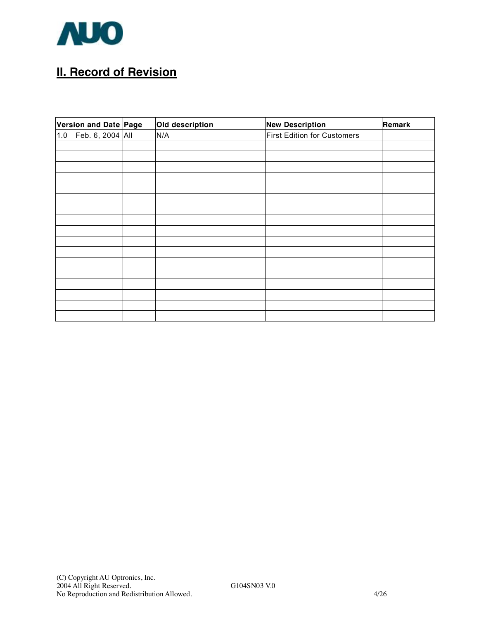

# **II. Record of Revision**

| Version and Date Page | Old description | <b>New Description</b>      | Remark |
|-----------------------|-----------------|-----------------------------|--------|
| 1.0 Feb. 6, 2004 All  | N/A             | First Edition for Customers |        |
|                       |                 |                             |        |
|                       |                 |                             |        |
|                       |                 |                             |        |
|                       |                 |                             |        |
|                       |                 |                             |        |
|                       |                 |                             |        |
|                       |                 |                             |        |
|                       |                 |                             |        |
|                       |                 |                             |        |
|                       |                 |                             |        |
|                       |                 |                             |        |
|                       |                 |                             |        |
|                       |                 |                             |        |
|                       |                 |                             |        |
|                       |                 |                             |        |
|                       |                 |                             |        |
|                       |                 |                             |        |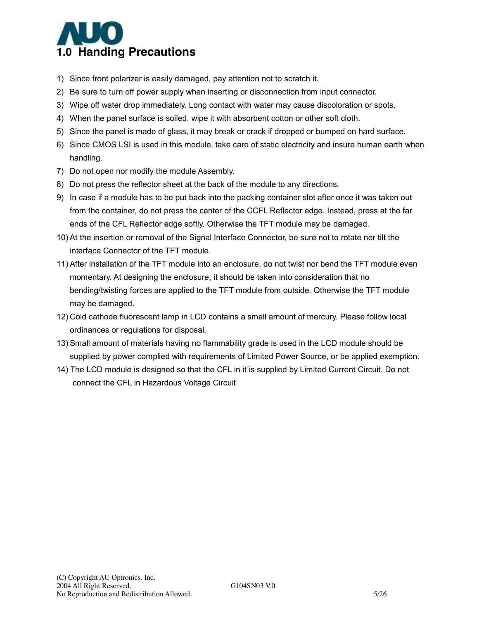

- 1) Since front polarizer is easily damaged, pay attention not to scratch it.
- 2) Be sure to turn off power supply when inserting or disconnection from input connector.
- 3) Wipe off water drop immediately. Long contact with water may cause discoloration or spots.
- 4) When the panel surface is soiled, wipe it with absorbent cotton or other soft cloth.
- 5) Since the panel is made of glass, it may break or crack if dropped or bumped on hard surface.
- 6) Since CMOS LSI is used in this module, take care of static electricity and insure human earth when handling.
- 7) Do not open nor modify the module Assembly.
- 8) Do not press the reflector sheet at the back of the module to any directions.
- 9) In case if a module has to be put back into the packing container slot after once it was taken out from the container, do not press the center of the CCFL Reflector edge. Instead, press at the far ends of the CFL Reflector edge softly. Otherwise the TFT module may be damaged.
- 10) At the insertion or removal of the Signal Interface Connector, be sure not to rotate nor tilt the interface Connector of the TFT module.
- 11) After installation of the TFT module into an enclosure, do not twist nor bend the TFT module even momentary. At designing the enclosure, it should be taken into consideration that no bending/twisting forces are applied to the TFT module from outside. Otherwise the TFT module may be damaged.
- 12) Cold cathode fluorescent lamp in LCD contains a small amount of mercury. Please follow local ordinances or regulations for disposal.
- 13) Small amount of materials having no flammability grade is used in the LCD module should be supplied by power complied with requirements of Limited Power Source, or be applied exemption.
- 14) The LCD module is designed so that the CFL in it is supplied by Limited Current Circuit. Do not connect the CFL in Hazardous Voltage Circuit.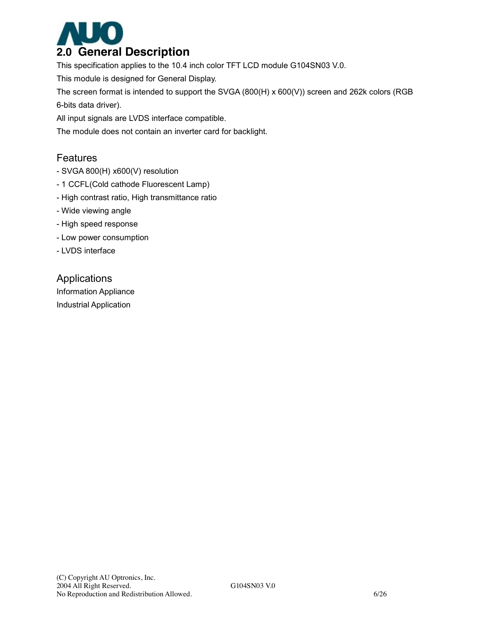

This specification applies to the 10.4 inch color TFT LCD module G104SN03 V.0.

This module is designed for General Display.

The screen format is intended to support the SVGA (800(H) x 600(V)) screen and 262k colors (RGB 6-bits data driver).

All input signals are LVDS interface compatible.

The module does not contain an inverter card for backlight.

#### Features

- SVGA 800(H) x600(V) resolution
- 1 CCFL(Cold cathode Fluorescent Lamp)
- High contrast ratio, High transmittance ratio
- Wide viewing angle
- High speed response
- Low power consumption
- LVDS interface

#### Applications

Information Appliance Industrial Application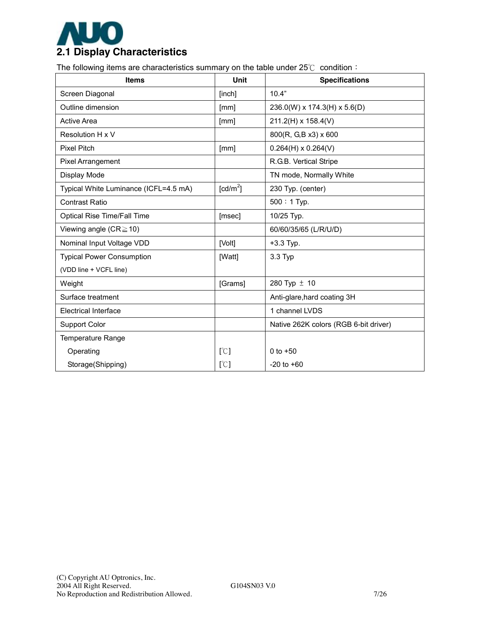

The following items are characteristics summary on the table under 25℃ condition:

| <b>Items</b>                          | Unit                          | <b>Specifications</b>                 |
|---------------------------------------|-------------------------------|---------------------------------------|
| Screen Diagonal                       | [inch]                        | 10.4"                                 |
| Outline dimension                     | [mm]                          | 236.0(W) x 174.3(H) x 5.6(D)          |
| <b>Active Area</b>                    | [mm]                          | $211.2(H) \times 158.4(V)$            |
| Resolution H x V                      |                               | 800(R, G,B x3) x 600                  |
| <b>Pixel Pitch</b>                    | [mm]                          | $0.264(H) \times 0.264(V)$            |
| Pixel Arrangement                     |                               | R.G.B. Vertical Stripe                |
| Display Mode                          |                               | TN mode, Normally White               |
| Typical White Luminance (ICFL=4.5 mA) | $\text{[cd/m}^2$              | 230 Typ. (center)                     |
| <b>Contrast Ratio</b>                 |                               | $500:1$ Typ.                          |
| Optical Rise Time/Fall Time           | [msec]                        | 10/25 Typ.                            |
| Viewing angle ( $CR \ge 10$ )         |                               | 60/60/35/65 (L/R/U/D)                 |
| Nominal Input Voltage VDD             | [Volt]                        | $+3.3$ Typ.                           |
| <b>Typical Power Consumption</b>      | [Watt]                        | 3.3 Typ                               |
| (VDD line + VCFL line)                |                               |                                       |
| Weight                                | [Grams]                       | 280 Typ ± 10                          |
| Surface treatment                     |                               | Anti-glare, hard coating 3H           |
| <b>Electrical Interface</b>           |                               | 1 channel LVDS                        |
| <b>Support Color</b>                  |                               | Native 262K colors (RGB 6-bit driver) |
| <b>Temperature Range</b>              |                               |                                       |
| Operating                             | [°C]                          | 0 to $+50$                            |
| Storage(Shipping)                     | $\lbrack \mathcal{C} \rbrack$ | $-20$ to $+60$                        |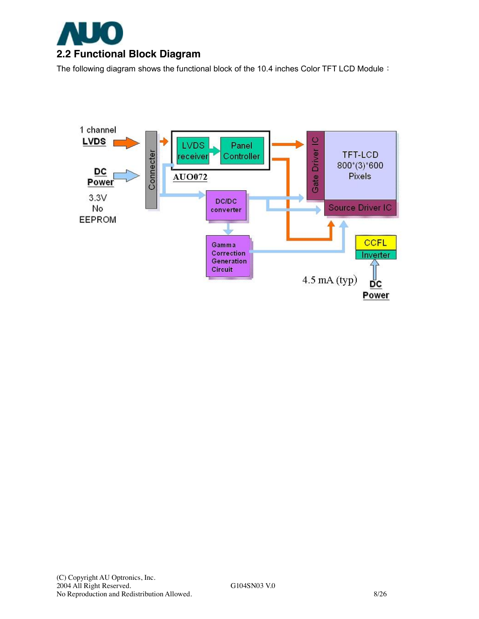

The following diagram shows the functional block of the 10.4 inches Color TFT LCD Module:

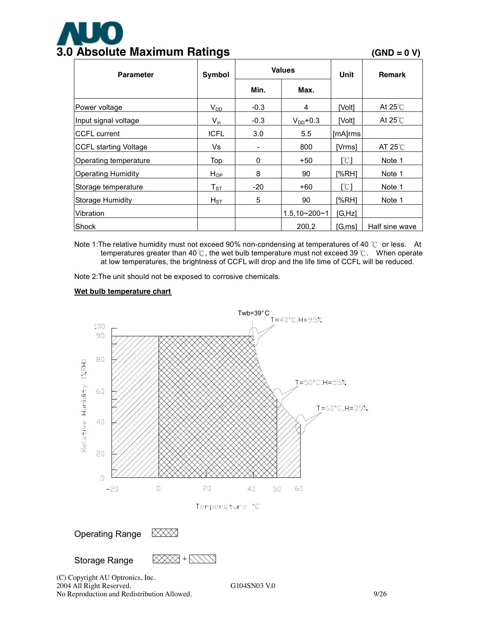# **3.0 Absolute Maximum Ratings (GND = 0 V)**

| <b>Parameter</b>             | Symbol                     | <b>Values</b> |                     | Unit    | <b>Remark</b>   |
|------------------------------|----------------------------|---------------|---------------------|---------|-----------------|
|                              |                            | Min.          | Max.                |         |                 |
| Power voltage                | $V_{DD}$                   | $-0.3$        | 4                   | [Volt]  | At $25^{\circ}$ |
| Input signal voltage         | $V_{in}$                   | $-0.3$        | $V_{DD}$ +0.3       | [Volt]  | At $25^{\circ}$ |
| <b>CCFL</b> current          | <b>ICFL</b>                | 3.0           | 5.5                 | [mA]rms |                 |
| <b>CCFL starting Voltage</b> | Vs                         | -             | 800                 | [Vrms]  | AT $25^\circ$ C |
| Operating temperature        | Top                        | 0             | +50                 | [°C]    | Note 1          |
| Operating Humidity           | $H_{OP}$                   | 8             | 90                  | I%RH1   | Note 1          |
| Storage temperature          | $\mathsf{T}_{\texttt{ST}}$ | $-20$         | +60                 | [°C]    | Note 1          |
| <b>Storage Humidity</b>      | $H_{ST}$                   | 5             | 90                  | [%RH]   | Note 1          |
| Vibration                    |                            |               | $1.5, 10 - 200 - 1$ | [G, Hz] |                 |
| <b>Shock</b>                 |                            |               | 200,2               | [G, ms] | Half sine wave  |

Note 1: The relative humidity must not exceed 90% non-condensing at temperatures of 40 ℃ or less. At temperatures greater than 40℃, the wet bulb temperature must not exceed 39℃. When operate at low temperatures, the brightness of CCFL will drop and the life time of CCFL will be reduced.

Note 2:The unit should not be exposed to corrosive chemicals.

#### **Wet bulb temperature chart**



(C) Copyright AU Optronics, Inc. 2004 All Right Reserved. G104SN03 V.0 No Reproduction and Redistribution Allowed. 9/26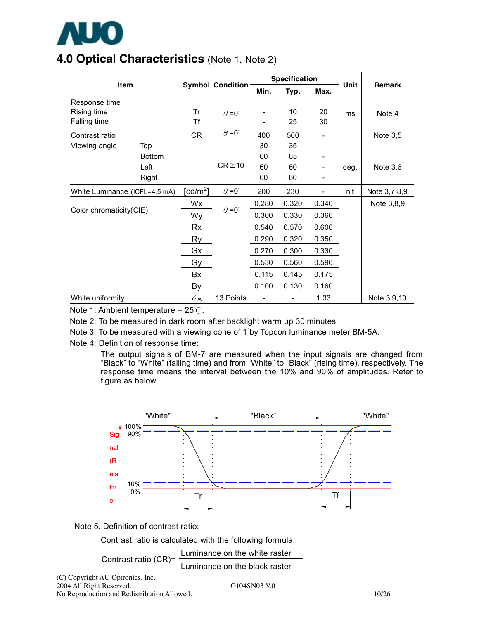

## **4.0 Optical Characteristics** (Note 1, Note 2)

|                                              |               |                                     |                         | <b>Specification</b> |          |                          |      |               |
|----------------------------------------------|---------------|-------------------------------------|-------------------------|----------------------|----------|--------------------------|------|---------------|
|                                              | <b>Item</b>   |                                     | <b>Symbol Condition</b> |                      | Typ.     | Max.                     | Unit | <b>Remark</b> |
| Response time<br>Rising time<br>Falling time |               | Tr<br><b>Tf</b>                     | $\theta = 0^{\circ}$    |                      | 10<br>25 | 20<br>30                 | ms   | Note 4        |
| Contrast ratio                               |               | CR                                  | $\theta = 0^{\circ}$    | 400                  | 500      | $\overline{\phantom{a}}$ |      | Note 3,5      |
| Viewing angle                                | Top           |                                     |                         | 30                   | 35       |                          |      |               |
|                                              | <b>Bottom</b> |                                     |                         | 60                   | 65       | $\overline{\phantom{a}}$ |      |               |
|                                              | Left          |                                     | $CR \ge 10$             | 60                   | 60       |                          | deg. | Note $3,6$    |
|                                              | Right         |                                     |                         | 60                   | 60       |                          |      |               |
| White Luminance (ICFL=4.5 mA)                |               | $\lceil$ cd/m <sup>2</sup> $\rceil$ | $\theta = 0^{\circ}$    | 200                  | 230      | $\overline{\phantom{0}}$ | nit  | Note 3,7,8,9  |
|                                              |               | Wx                                  |                         | 0.280                | 0.320    | 0.340                    |      | Note 3,8,9    |
| Color chromaticity(CIE)                      |               | Wy                                  | $\theta = 0^{\circ}$    | 0.300                | 0.330    | 0.360                    |      |               |
|                                              |               | Rx                                  |                         | 0.540                | 0.570    | 0.600                    |      |               |
|                                              |               | Ry                                  |                         | 0.290                | 0.320    | 0.350                    |      |               |
|                                              |               | Gx                                  |                         | 0.270                | 0.300    | 0.330                    |      |               |
|                                              |               | Gy                                  |                         | 0.530                | 0.560    | 0.590                    |      |               |
|                                              |               | Bx                                  |                         | 0.115                | 0.145    | 0.175                    |      |               |
|                                              |               | By                                  |                         | 0.100                | 0.130    | 0.160                    |      |               |
| White uniformity                             |               | $\delta$ w                          | 13 Points               |                      |          | 1.33                     |      | Note 3,9,10   |

Note 1: Ambient temperature = 25℃.

Note 2: To be measured in dark room after backlight warm up 30 minutes.

Note 3: To be measured with a viewing cone of 1°by Topcon luminance meter BM-5A.

Note 4: Definition of response time:

The output signals of BM-7 are measured when the input signals are changed from "Black" to "White" (falling time) and from "White" to "Black" (rising time), respectively. The response time means the interval between the 10% and 90% of amplitudes. Refer to figure as below.





Contrast ratio is calculated with the following formula.

Contrast ratio (CR)= Luminance on the white raster

(C) Copyright AU Optronics, Inc. 2004 All Right Reserved. G104SN03 V.0 No Reproduction and Redistribution Allowed. 10/26

Luminance on the black raster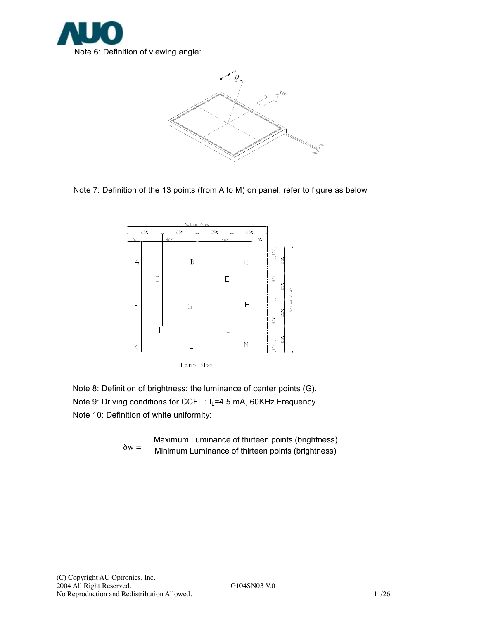



Note 7: Definition of the 13 points (from A to M) on panel, refer to figure as below



Note 8: Definition of brightness: the luminance of center points (G). Note 9: Driving conditions for CCFL : I<sub>L</sub>=4.5 mA, 60KHz Frequency

Note 10: Definition of white uniformity:

 $\delta w =$  -Maximum Luminance of thirteen points (brightness) Minimum Luminance of thirteen points (brightness)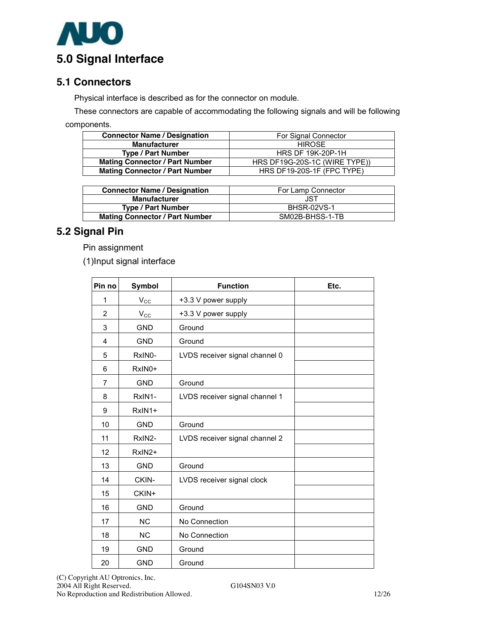

#### **5.1 Connectors**

Physical interface is described as for the connector on module.

These connectors are capable of accommodating the following signals and will be following components.

| <b>Connector Name / Designation</b>   | For Signal Connector          |
|---------------------------------------|-------------------------------|
| <b>Manufacturer</b>                   | <b>HIROSE</b>                 |
| <b>Type / Part Number</b>             | <b>HRS DF 19K-20P-1H</b>      |
| <b>Mating Connector / Part Number</b> | HRS DF19G-20S-1C (WIRE TYPE)) |
| <b>Mating Connector / Part Number</b> | HRS DF19-20S-1F (FPC TYPE)    |

| <b>Connector Name / Designation</b>   | For Lamp Connector |
|---------------------------------------|--------------------|
| <b>Manufacturer</b>                   | JST                |
| <b>Type / Part Number</b>             | <b>BHSR-02VS-1</b> |
| <b>Mating Connector / Part Number</b> | SM02B-BHSS-1-TB    |

### **5.2 Signal Pin**

Pin assignment

(1)Input signal interface

| Pin no         | <b>Symbol</b> | <b>Function</b>                | Etc. |
|----------------|---------------|--------------------------------|------|
| 1              | $V_{\rm CC}$  | +3.3 V power supply            |      |
| 2              | $V_{\rm CC}$  | +3.3 V power supply            |      |
| 3              | <b>GND</b>    | Ground                         |      |
| 4              | <b>GND</b>    | Ground                         |      |
| 5              | RxIN0-        | LVDS receiver signal channel 0 |      |
| 6              | RxIN0+        |                                |      |
| $\overline{7}$ | <b>GND</b>    | Ground                         |      |
| 8              | RxIN1-        | LVDS receiver signal channel 1 |      |
| 9              | RxIN1+        |                                |      |
| 10             | <b>GND</b>    | Ground                         |      |
| 11             | RxIN2-        | LVDS receiver signal channel 2 |      |
| 12             | RxIN2+        |                                |      |
| 13             | <b>GND</b>    | Ground                         |      |
| 14             | CKIN-         | LVDS receiver signal clock     |      |
| 15             | CKIN+         |                                |      |
| 16             | <b>GND</b>    | Ground                         |      |
| 17             | <b>NC</b>     | No Connection                  |      |
| 18             | <b>NC</b>     | No Connection                  |      |
| 19             | <b>GND</b>    | Ground                         |      |
| 20             | <b>GND</b>    | Ground                         |      |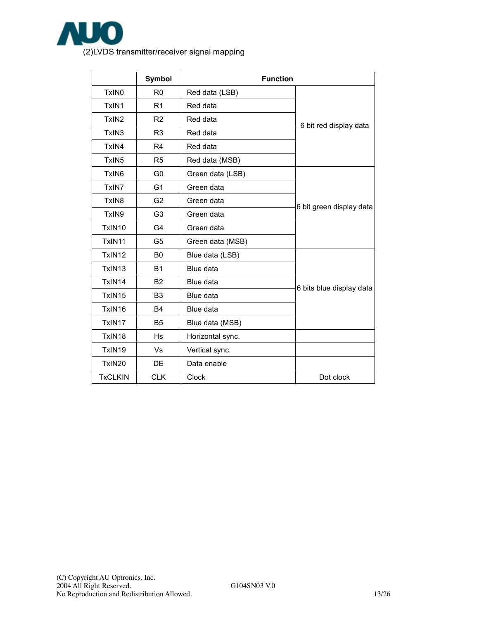

|                    | Symbol         | <b>Function</b>  |                          |  |
|--------------------|----------------|------------------|--------------------------|--|
| TxIN <sub>0</sub>  | R <sub>0</sub> | Red data (LSB)   |                          |  |
| TxIN1              | R1             | Red data         |                          |  |
| TxIN <sub>2</sub>  | R <sub>2</sub> | Red data         | 6 bit red display data   |  |
| TxIN <sub>3</sub>  | R <sub>3</sub> | Red data         |                          |  |
| TxIN4              | R <sub>4</sub> | Red data         |                          |  |
| TxIN <sub>5</sub>  | R <sub>5</sub> | Red data (MSB)   |                          |  |
| TxIN <sub>6</sub>  | G <sub>0</sub> | Green data (LSB) |                          |  |
| TxIN7              | G <sub>1</sub> | Green data       |                          |  |
| TxIN <sub>8</sub>  | G <sub>2</sub> | Green data       |                          |  |
| TxIN9              | G <sub>3</sub> | Green data       | 6 bit green display data |  |
| TxIN10             | G <sub>4</sub> | Green data       |                          |  |
| TxIN <sub>11</sub> | G <sub>5</sub> | Green data (MSB) |                          |  |
| TxIN12             | B <sub>0</sub> | Blue data (LSB)  |                          |  |
| TxIN13             | <b>B1</b>      | Blue data        |                          |  |
| TxIN14             | B <sub>2</sub> | Blue data        | 6 bits blue display data |  |
| TxIN15             | B <sub>3</sub> | Blue data        |                          |  |
| TxIN16             | <b>B4</b>      | Blue data        |                          |  |
| TxIN17             | <b>B5</b>      | Blue data (MSB)  |                          |  |
| TxIN18             | Hs             | Horizontal sync. |                          |  |
| TxIN19             | Vs             | Vertical sync.   |                          |  |
| TxIN20             | DE             | Data enable      |                          |  |
| <b>TxCLKIN</b>     | <b>CLK</b>     | <b>Clock</b>     | Dot clock                |  |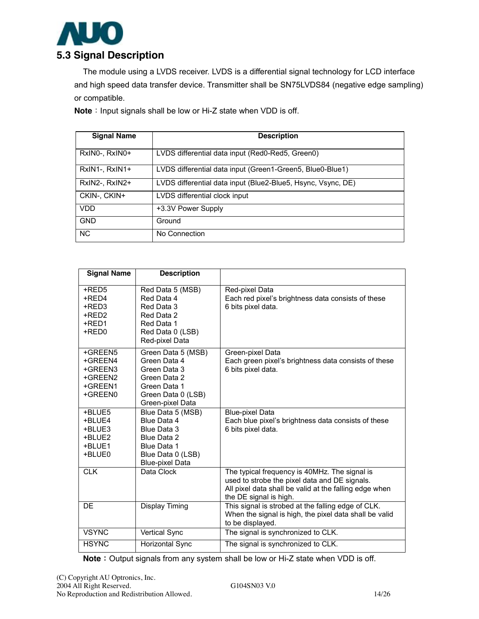

The module using a LVDS receiver. LVDS is a differential signal technology for LCD interface and high speed data transfer device. Transmitter shall be SN75LVDS84 (negative edge sampling) or compatible.

**Note**: Input signals shall be low or Hi-Z state when VDD is off.

| <b>Signal Name</b> | <b>Description</b>                                           |
|--------------------|--------------------------------------------------------------|
| RxINO-, RxINO+     | LVDS differential data input (Red0-Red5, Green0)             |
| $RxIN1-, RxIN1+$   | LVDS differential data input (Green1-Green5, Blue0-Blue1)    |
| RxIN2-, RxIN2+     | LVDS differential data input (Blue2-Blue5, Hsync, Vsync, DE) |
| CKIN-, CKIN+       | LVDS differential clock input                                |
| VDD                | +3.3V Power Supply                                           |
| <b>GND</b>         | Ground                                                       |
| <b>NC</b>          | No Connection                                                |

| <b>Signal Name</b>                                             | <b>Description</b>                                                                                                           |                                                                                                                                                                                    |
|----------------------------------------------------------------|------------------------------------------------------------------------------------------------------------------------------|------------------------------------------------------------------------------------------------------------------------------------------------------------------------------------|
| +RED5<br>+RED4<br>+RED3<br>+RED2<br>+RED1<br>+RED0             | Red Data 5 (MSB)<br>Red Data 4<br>Red Data 3<br>Red Data 2<br>Red Data 1<br>Red Data 0 (LSB)<br>Red-pixel Data               | Red-pixel Data<br>Each red pixel's brightness data consists of these<br>6 bits pixel data.                                                                                         |
| +GREEN5<br>+GREEN4<br>+GREEN3<br>+GREEN2<br>+GREEN1<br>+GREEN0 | Green Data 5 (MSB)<br>Green Data 4<br>Green Data 3<br>Green Data 2<br>Green Data 1<br>Green Data 0 (LSB)<br>Green-pixel Data | Green-pixel Data<br>Each green pixel's brightness data consists of these<br>6 bits pixel data.                                                                                     |
| +BLUE5<br>+BLUE4<br>+BLUE3<br>+BLUE2<br>+BLUE1<br>+BLUE0       | Blue Data 5 (MSB)<br>Blue Data 4<br>Blue Data 3<br>Blue Data 2<br>Blue Data 1<br>Blue Data 0 (LSB)<br><b>Blue-pixel Data</b> | <b>Blue-pixel Data</b><br>Each blue pixel's brightness data consists of these<br>6 bits pixel data.                                                                                |
| <b>CLK</b>                                                     | Data Clock                                                                                                                   | The typical frequency is 40MHz. The signal is<br>used to strobe the pixel data and DE signals.<br>All pixel data shall be valid at the falling edge when<br>the DE signal is high. |
| DE                                                             | <b>Display Timing</b>                                                                                                        | This signal is strobed at the falling edge of CLK.<br>When the signal is high, the pixel data shall be valid<br>to be displayed.                                                   |
| <b>VSYNC</b>                                                   | Vertical Sync                                                                                                                | The signal is synchronized to CLK.                                                                                                                                                 |
| <b>HSYNC</b>                                                   | Horizontal Sync                                                                                                              | The signal is synchronized to CLK.                                                                                                                                                 |

**Note**: Output signals from any system shall be low or Hi-Z state when VDD is off.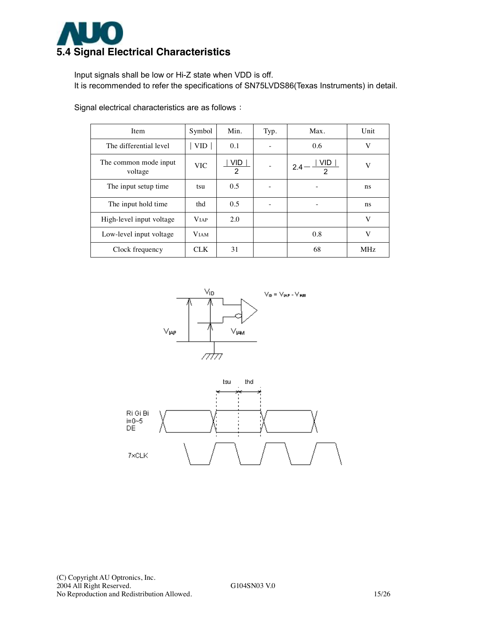

Input signals shall be low or Hi-Z state when VDD is off. It is recommended to refer the specifications of SN75LVDS86(Texas Instruments) in detail.

| Item                             | Symbol       | Min.      | Typ. | Max.             | Unit       |
|----------------------------------|--------------|-----------|------|------------------|------------|
| The differential level           | VID.         | 0.1       |      | 0.6              | V          |
| The common mode input<br>voltage | <b>VIC</b>   | VID.<br>2 |      | VID.<br>2.4<br>2 | V          |
| The input setup time.            | tsu          | 0.5       |      | ٠                | ns         |
| The input hold time              | thd          | 0.5       |      | ۰                | ns.        |
| High-level input voltage         | <b>V</b> IAP | 2.0       |      |                  | V          |
| Low-level input voltage          | <b>VIAM</b>  |           |      | 0.8              | V          |
| Clock frequency                  | <b>CLK</b>   | 31        |      | 68               | <b>MHz</b> |

Signal electrical characteristics are as follows:



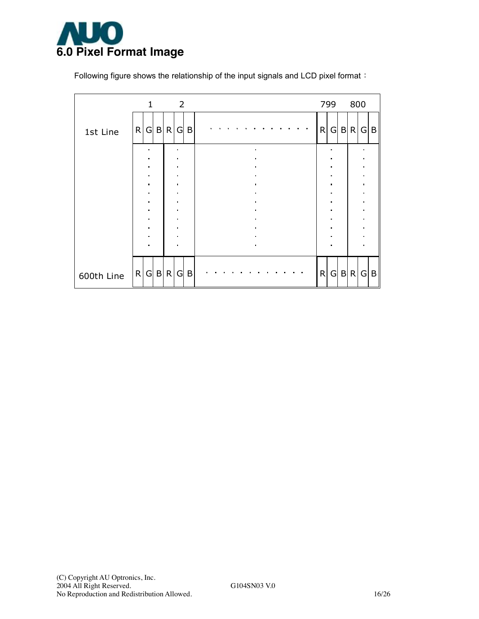

Following figure shows the relationship of the input signals and LCD pixel format:

|            | $\mathbf{1}$                     |  | $\overline{\phantom{0}}$ 2       |   |  |  |                |  |  |   | 799            |              | 800   |                                  |  |
|------------|----------------------------------|--|----------------------------------|---|--|--|----------------|--|--|---|----------------|--------------|-------|----------------------------------|--|
| 1st Line   | R G B R                          |  | G                                | B |  |  |                |  |  | R | G              | $\mathsf{B}$ | R     | G B                              |  |
|            | $\blacksquare$<br>$\blacksquare$ |  | ×<br>$\blacksquare$              |   |  |  |                |  |  |   | ×              |              |       |                                  |  |
|            | $\bullet$                        |  | $\blacksquare$                   |   |  |  |                |  |  |   | $\blacksquare$ |              |       |                                  |  |
|            | $\blacksquare$<br>$\blacksquare$ |  | $\blacksquare$<br>$\blacksquare$ |   |  |  |                |  |  |   | $\blacksquare$ |              |       | $\blacksquare$<br>$\blacksquare$ |  |
|            | $\blacksquare$                   |  | $\blacksquare$                   |   |  |  |                |  |  |   | $\blacksquare$ |              |       |                                  |  |
|            | $\blacksquare$                   |  | $\blacksquare$                   |   |  |  |                |  |  |   |                |              |       | n                                |  |
|            | $\blacksquare$<br>$\blacksquare$ |  | $\blacksquare$<br>$\blacksquare$ |   |  |  |                |  |  |   |                |              |       | $\blacksquare$                   |  |
|            | $\blacksquare$                   |  | $\blacksquare$                   |   |  |  |                |  |  |   |                |              |       | n                                |  |
|            | $\blacksquare$                   |  | $\blacksquare$                   |   |  |  |                |  |  |   |                |              |       |                                  |  |
|            | $\blacksquare$                   |  | $\blacksquare$                   |   |  |  | $\blacksquare$ |  |  |   |                |              |       |                                  |  |
| 600th Line | R G B R                          |  | G                                | B |  |  |                |  |  | R |                |              | G B R | G B                              |  |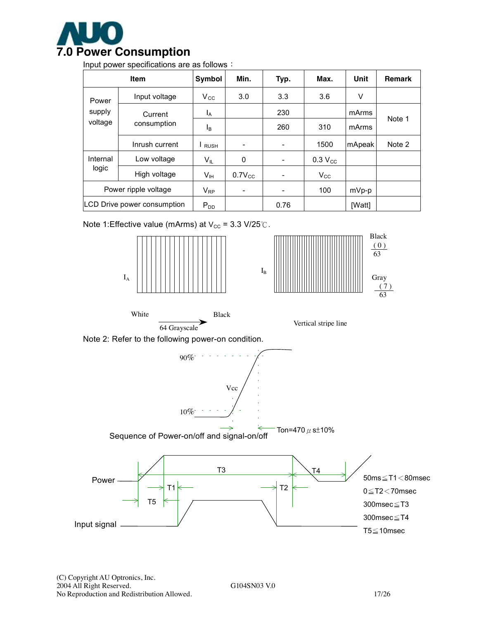

Input power specifications are as follows:

|                      | Item                        | Symbol          | Min.                     | Typ.                     | Max.         | Unit    | <b>Remark</b> |
|----------------------|-----------------------------|-----------------|--------------------------|--------------------------|--------------|---------|---------------|
| Power                | Input voltage               | $V_{\rm CC}$    | 3.0                      | 3.3                      | 3.6          | V       |               |
| supply               | Current                     |                 |                          | 230                      |              | mArms   | Note 1        |
| voltage              | consumption                 | <sub>B</sub>    |                          | 260                      | 310          | mArms   |               |
|                      | Inrush current              | <b>RUSH</b>     |                          | $\overline{\phantom{a}}$ | 1500         | mApeak  | Note 2        |
| Internal             | Low voltage                 | $V_{IL}$        | 0                        | $\overline{\phantom{a}}$ | $0.3 V_{CC}$ |         |               |
| logic                | High voltage                | $V_{\text{IH}}$ | $0.7V_{CC}$              | $\overline{\phantom{a}}$ | $V_{\rm CC}$ |         |               |
| Power ripple voltage |                             | $V_{RP}$        | $\overline{\phantom{a}}$ | -                        | 100          | $mVp-p$ |               |
|                      | LCD Drive power consumption |                 |                          | 0.76                     |              | [Watt]  |               |

Note 1:Effective value (mArms) at  $V_{\text{cc}}$  = 3.3 V/25℃.





White Black





Note 2: Refer to the following power-on condition.

 $90\%$ <sup>-</sup> 10% Vcc

Sequence of Power-on/off and signal-on/off Ton=470  $\mu$  s $\pm$ 10%

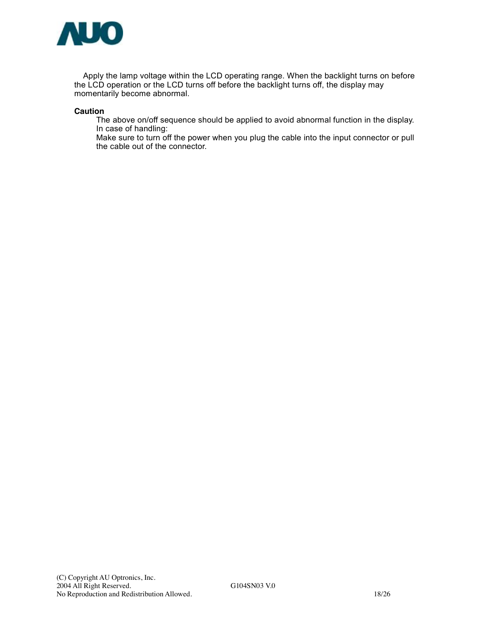

Apply the lamp voltage within the LCD operating range. When the backlight turns on before the LCD operation or the LCD turns off before the backlight turns off, the display may momentarily become abnormal.

#### **Caution**

The above on/off sequence should be applied to avoid abnormal function in the display. In case of handling:

Make sure to turn off the power when you plug the cable into the input connector or pull the cable out of the connector.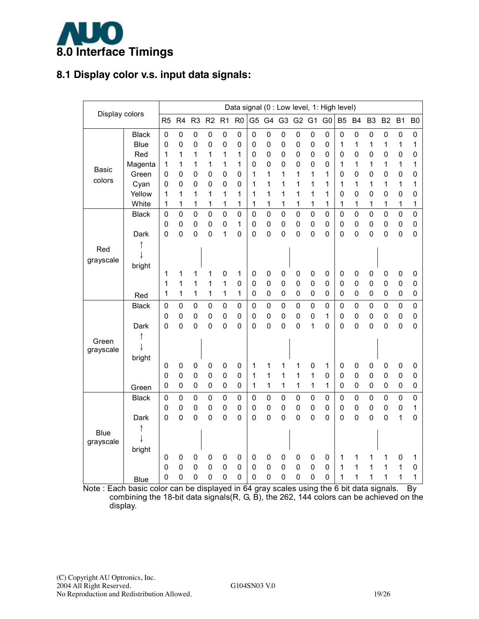

#### **8.1 Display color v.s. input data signals:**

|                |              |                |                     |                |                               |                     |                  |                     |                |             |                |                  | Data signal (0 : Low level, 1: High level) |                |                  |                  |                  |                |                  |
|----------------|--------------|----------------|---------------------|----------------|-------------------------------|---------------------|------------------|---------------------|----------------|-------------|----------------|------------------|--------------------------------------------|----------------|------------------|------------------|------------------|----------------|------------------|
| Display colors |              | R <sub>5</sub> | R4                  | R <sub>3</sub> | R <sub>2</sub> R <sub>1</sub> |                     | R <sub>0</sub>   |                     | G5 G4 G3 G2 G1 |             |                |                  | G <sub>0</sub>                             | B <sub>5</sub> | <b>B4</b>        | B <sub>3</sub>   | B <sub>2</sub>   | B <sub>1</sub> | B <sub>0</sub>   |
|                | <b>Black</b> | $\pmb{0}$      | $\mathbf 0$         | $\mathbf 0$    | $\pmb{0}$                     | 0                   | 0                | $\mathbf 0$         | $\mathbf 0$    | 0           | 0              | $\mathbf 0$      | 0                                          | $\mathbf 0$    | $\mathbf 0$      | 0                | $\mathbf 0$      | $\mathbf 0$    | $\mathbf 0$      |
|                | <b>Blue</b>  | $\overline{0}$ | $\mathbf 0$         | 0              | $\mathbf 0$                   | $\mathbf 0$         | $\mathbf 0$      | 0                   | 0              | 0           | 0              | $\mathbf 0$      | $\mathbf 0$                                | 1              | 1                | 1                | 1                | 1              | 1                |
|                | Red          | 1              | 1                   | 1              | 1                             | 1                   | 1                | 0                   | 0              | 0           | 0              | $\mathbf 0$      | 0                                          | 0              | 0                | 0                | $\mathbf 0$      | 0              | $\mathbf 0$      |
| <b>Basic</b>   | Magenta      | 1              | 1                   | 1              | 1                             | 1                   | 1                | 0                   | 0              | 0           | 0              | $\mathbf 0$      | 0                                          | 1              | 1                | 1                | 1                | 1              | 1                |
| colors         | Green        | 0              | 0                   | 0              | $\pmb{0}$                     | 0                   | $\mathsf 0$      | 1                   | 1              | 1           | 1              | 1                | 1                                          | 0              | $\mathbf 0$      | 0                | $\mathbf 0$      | 0              | $\mathbf 0$      |
|                | Cyan         | 0              | 0                   | 0              | $\mathbf 0$                   | $\mathbf 0$         | $\mathbf 0$      | 1                   | 1              | 1           | 1              | 1                | 1                                          | 1              | 1                | 1                | 1                | 1              | 1                |
|                | Yellow       | 1              | 1                   | 1              | 1                             | 1                   | 1                | 1                   | 1              | 1           | 1              | 1                | 1                                          | 0              | $\mathbf 0$      | 0                | 0                | $\overline{0}$ | $\mathbf 0$      |
|                | White        | 1              | 1                   | 1              | 1                             | 1                   | 1                | 1                   | 1              | 1           | 1              | 1                | 1                                          | 1              | 1                | 1                | 1                | 1              | 1                |
|                | <b>Black</b> | 0              | 0                   | $\mathbf 0$    | $\mathbf 0$                   | $\overline{0}$      | $\mathbf 0$      | 0                   | $\mathbf 0$    | $\mathbf 0$ | $\mathbf 0$    | $\mathbf 0$      | $\mathbf 0$                                | $\mathbf 0$    | $\mathbf 0$      | $\mathbf 0$      | $\mathbf 0$      | $\mathsf 0$    | $\mathbf 0$      |
|                |              | 0              | $\mathbf 0$         | $\mathbf 0$    | $\pmb{0}$                     | $\mathbf 0$         | 1                | 0                   | 0              | 0           | 0              | $\pmb{0}$        | $\mathbf 0$                                | $\mathbf 0$    | 0                | $\mathbf 0$      | $\mathbf 0$      | 0              | $\pmb{0}$        |
|                | Dark         | $\overline{0}$ | $\overline{0}$      | $\mathbf 0$    | $\mathbf 0$                   | 1                   | $\mathbf 0$      | $\overline{0}$      | 0              | 0           | $\overline{0}$ | $\mathbf 0$      | $\overline{0}$                             | $\overline{0}$ | $\overline{0}$   | $\mathbf 0$      | $\mathbf 0$      | $\mathsf 0$    | $\mathsf 0$      |
| Red            |              |                |                     |                |                               |                     |                  |                     |                |             |                |                  |                                            |                |                  |                  |                  |                |                  |
| grayscale      |              |                |                     |                |                               |                     |                  |                     |                |             |                |                  |                                            |                |                  |                  |                  |                |                  |
|                | bright       |                |                     |                |                               |                     |                  |                     |                |             |                |                  |                                            |                |                  |                  |                  |                |                  |
|                |              | 1              | 1                   | 1              | 1                             | 0                   | 1<br>$\mathbf 0$ | 0<br>0              | 0              | 0<br>0      | 0<br>0         | 0<br>$\mathbf 0$ | $\pmb{0}$                                  | 0              | 0<br>$\mathbf 0$ | 0<br>$\mathbf 0$ | 0<br>$\mathbf 0$ | 0              | 0                |
|                |              | 1<br>1         | 1<br>1              | 1<br>1         | 1<br>1                        | 1<br>1              | 1                | 0                   | 0<br>0         | 0           | 0              | $\mathbf 0$      | 0<br>0                                     | 0<br>0         | 0                | 0                | $\mathbf 0$      | 0<br>0         | $\mathbf 0$<br>0 |
|                | Red          |                |                     |                |                               |                     |                  |                     |                |             |                |                  |                                            |                |                  |                  |                  |                |                  |
|                | <b>Black</b> | $\mathbf 0$    | $\mathbf 0$         | $\mathbf 0$    | $\pmb{0}$                     | $\mathbf 0$         | $\mathbf 0$      | 0                   | $\mathbf 0$    | 0           | $\mathbf 0$    | $\mathbf 0$      | $\mathbf 0$                                | $\mathbf 0$    | $\mathbf 0$      | $\mathbf 0$      | $\mathbf 0$      | $\mathsf 0$    | $\mathsf 0$      |
|                |              | 0              | $\mathbf 0$         | $\mathbf 0$    | $\pmb{0}$                     | $\mathbf 0$         | $\mathbf 0$      | 0                   | 0              | 0           | 0              | $\mathbf 0$      | 1                                          | $\mathbf 0$    | $\mathbf 0$      | $\mathbf 0$      | $\mathbf 0$      | 0              | $\mathbf 0$      |
|                | Dark         | $\mathbf 0$    | $\mathbf 0$         | 0              | $\pmb{0}$                     | $\mathbf 0$         | 0                | 0                   | 0              | 0           | 0              | 1                | $\mathbf 0$                                | 0              | 0                | 0                | 0                | 0              | $\mathbf 0$      |
| Green          |              |                |                     |                |                               |                     |                  |                     |                |             |                |                  |                                            |                |                  |                  |                  |                |                  |
| grayscale      |              |                |                     |                |                               |                     |                  |                     |                |             |                |                  |                                            |                |                  |                  |                  |                |                  |
|                | bright       | 0              | 0                   | 0              | 0                             | 0                   | 0                | 1                   | 1              | 1           | 1              | $\pmb{0}$        | 1                                          | 0              | 0                | 0                | 0                | 0              | 0                |
|                |              | 0              | $\pmb{0}$           | $\mathbf 0$    | $\pmb{0}$                     | 0                   | 0                | 1                   | 1              | 1           | 1              | 1                | $\mathbf 0$                                | 0              | $\mathbf 0$      | 0                | $\mathbf 0$      | 0              | $\mathbf 0$      |
|                |              | 0              | 0                   | $\mathbf 0$    | $\mathbf 0$                   | 0                   | $\mathbf 0$      | 1                   | $\mathbf 1$    | 1           | 1              | $\mathbf{1}$     | 1                                          | 0              | $\mathbf 0$      | $\mathbf 0$      | $\mathbf 0$      | 0              | $\mathbf 0$      |
|                | Green        | $\mathbf 0$    |                     |                | $\mathbf 0$                   | 0                   |                  |                     | $\mathbf 0$    | $\mathbf 0$ | $\mathbf 0$    | 0                |                                            | 0              | $\pmb{0}$        | 0                | 0                |                | $\mathbf 0$      |
|                | <b>Black</b> | 0              | 0                   | $\pmb{0}$<br>0 | $\mathbf 0$                   |                     | 0<br>$\mathbf 0$ | 0                   | 0              | 0           | 0              | $\mathbf 0$      | 0                                          |                | $\mathbf 0$      |                  | $\mathbf 0$      | $\pmb{0}$<br>0 | 1                |
|                | Dark         | $\pmb{0}$      | 0<br>$\overline{0}$ | $\mathbf 0$    | $\mathbf 0$                   | 0<br>$\overline{0}$ | $\mathbf 0$      | 0<br>$\overline{0}$ | 0              | $\mathbf 0$ | 0              | $\mathbf 0$      | 0<br>$\overline{0}$                        | 0<br>0         | $\overline{0}$   | 0<br>$\mathbf 0$ | 0                | 1              | $\overline{0}$   |
|                |              |                |                     |                |                               |                     |                  |                     |                |             |                |                  |                                            |                |                  |                  |                  |                |                  |
| <b>Blue</b>    |              |                |                     |                |                               |                     |                  |                     |                |             |                |                  |                                            |                |                  |                  |                  |                |                  |
| grayscale      |              |                |                     |                |                               |                     |                  |                     |                |             |                |                  |                                            |                |                  |                  |                  |                |                  |
|                | bright       | 0              | $\pmb{0}$           | $\mathbf 0$    | $\mathbf 0$                   | 0                   | 0                | 0                   | 0              | 0           | 0              | 0                | 0                                          | 1              | 1                | 1                | 1                | 0              | 1                |
|                |              | 0              | $\pmb{0}$           | 0              | $\pmb{0}$                     | $\mathbf 0$         | $\mathbf 0$      | 0                   | 0              | $\mathbf 0$ | 0              | $\mathbf 0$      | 0                                          | 1              | 1                | 1                | 1                | 1              | $\mathbf 0$      |
|                | <b>Blue</b>  | 0              | 0                   | $\mathbf 0$    | $\mathbf 0$                   | $\mathbf 0$         | $\mathbf 0$      | 0                   | 0              | 0           | 0              | $\mathbf 0$      | 0                                          | 1              | 1                | 1                | 1                | 1              | 1                |
| -              |              |                |                     |                |                               |                     |                  |                     |                |             |                |                  |                                            |                |                  |                  |                  |                |                  |

Note : Each basic color can be displayed in 64 gray scales using the 6 bit data signals. By combining the 18-bit data signals(R, G, B), the 262, 144 colors can be achieved on the display.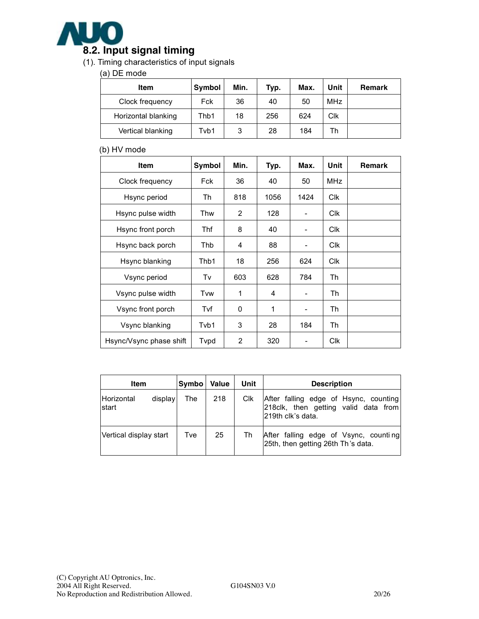

#### (1). Timing characteristics of input signals

#### (a) DE mode

| Item                | <b>Symbol</b> | Min. | Typ. | Max. | Unit       | Remark |
|---------------------|---------------|------|------|------|------------|--------|
| Clock frequency     | Fck           | 36   | 40   | 50   | <b>MHz</b> |        |
| Horizontal blanking | Thb1          | 18   | 256  | 624  | Clk        |        |
| Vertical blanking   | Tvb1          | 3    | 28   | 184  | Th         |        |

#### (b) HV mode

| <b>Item</b>             | Symbol | Min. | Typ. | Max.           | Unit       | Remark |
|-------------------------|--------|------|------|----------------|------------|--------|
| Clock frequency         | Fck    | 36   | 40   | 50             | <b>MHz</b> |        |
| Hsync period            | Th     | 818  | 1056 | 1424           | <b>Clk</b> |        |
| Hsync pulse width       | Thw    | 2    | 128  |                | <b>Clk</b> |        |
| Hsync front porch       | Thf    | 8    | 40   | -              | <b>Clk</b> |        |
| Hsync back porch        | Thb    | 4    | 88   |                | <b>CIK</b> |        |
| Hsync blanking          | Thb1   | 18   | 256  | 624            | <b>Clk</b> |        |
| Vsync period            | Tv     | 603  | 628  | 784            | Th         |        |
| Vsync pulse width       | Tvw    | 1    | 4    | -              | Th         |        |
| Vsync front porch       | Tvf    | 0    | 1    | $\overline{a}$ | Th         |        |
| Vsync blanking          | Tvb1   | 3    | 28   | 184            | Th         |        |
| Hsync/Vsync phase shift | Tvpd   | 2    | 320  |                | <b>CIK</b> |        |

| Item                   |         | Symbo | <b>Value</b> | Unit | <b>Description</b>                                                                                  |
|------------------------|---------|-------|--------------|------|-----------------------------------------------------------------------------------------------------|
| Horizontal<br>start    | display | The   | 218          | Clk  | After falling edge of Hsync, counting<br>218 clk, then getting valid data from<br>219th clk's data. |
| Vertical display start |         | Tve   | 25           | Th   | After falling edge of Vsync, counting<br>25th, then getting 26th Th's data.                         |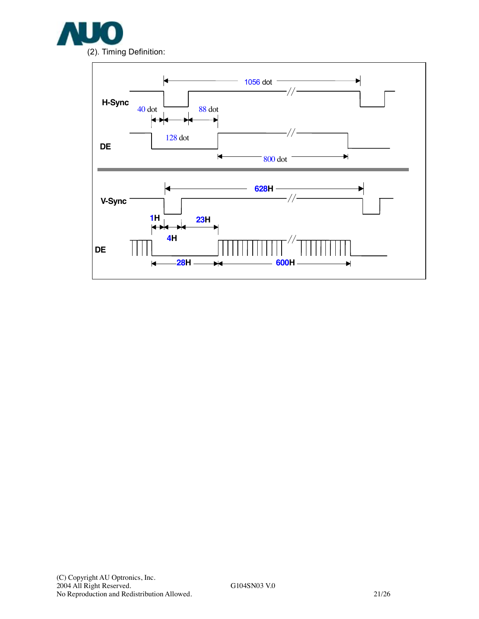

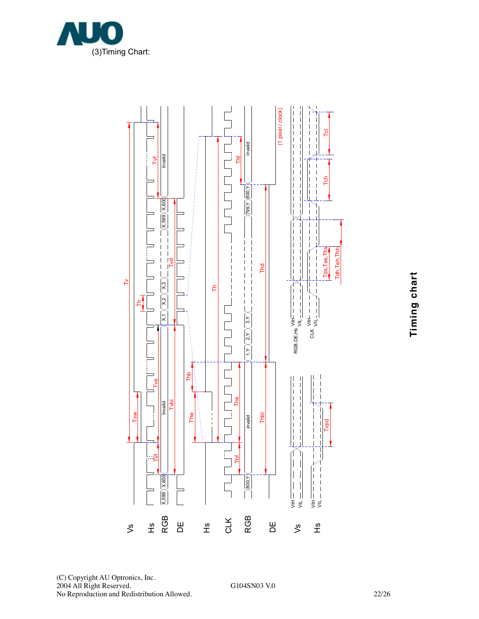



**Timin g c h art**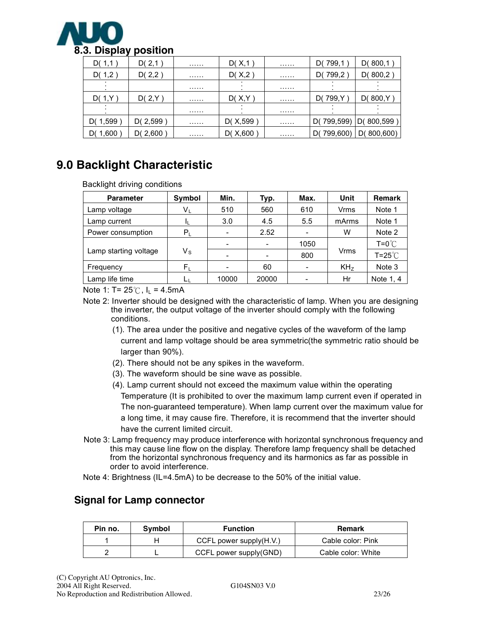

| D(1,1)   | D(2,1)     | . | D(X,1)     | . | D(799,1        | D(800,1)       |
|----------|------------|---|------------|---|----------------|----------------|
| D(1,2)   | D(2,2)     | . | D(X,2)     | . | D(799,2        | D(800,2)       |
|          |            | . |            | . |                |                |
| D(1,Y)   | D(2,Y)     | . | D(X, Y)    | . | D(799, Y       | D(800,Y)       |
|          |            | . |            | . |                |                |
| D(1,599  | D( $2,599$ | . | D( $X,599$ | . | 799,599)<br>D( | D(800,599)     |
| D(1,600) | D( $2,600$ | . | D(X, 600)  | . | 799,600)<br>D١ | D(<br>800,600) |

## **9.0 Backlight Characteristic**

Backlight driving conditions

| <b>Parameter</b>      | Symbol  | Min.  | Typ.                     | Max. | Unit            | <b>Remark</b>          |
|-----------------------|---------|-------|--------------------------|------|-----------------|------------------------|
| Lamp voltage          | $V_{L}$ | 510   | 560                      | 610  | Vrms            | Note 1                 |
| Lamp current          |         | 3.0   | 4.5                      | 5.5  | mArms           | Note 1                 |
| Power consumption     | $P_L$   |       | 2.52                     |      | w               | Note 2                 |
|                       |         |       | $\overline{\phantom{a}}$ | 1050 |                 | $T = 0^\circ \text{C}$ |
| Lamp starting voltage | Vs      |       | -                        | 800  | Vrms            | $T = 25^{\circ}$       |
| Frequency             | $F_L$   |       | 60                       |      | KH <sub>z</sub> | Note 3                 |
| Lamp life time        |         | 10000 | 20000                    |      | Hr              | Note 1, 4              |

Note 1: T=  $25^{\circ}$ C, I<sub>L</sub> = 4.5mA

- Note 2: Inverter should be designed with the characteristic of lamp. When you are designing the inverter, the output voltage of the inverter should comply with the following conditions.
	- (1). The area under the positive and negative cycles of the waveform of the lamp current and lamp voltage should be area symmetric(the symmetric ratio should be larger than 90%).
	- (2). There should not be any spikes in the waveform.
	- (3). The waveform should be sine wave as possible.
	- (4). Lamp current should not exceed the maximum value within the operating Temperature (It is prohibited to over the maximum lamp current even if operated in The non-guaranteed temperature). When lamp current over the maximum value for a long time, it may cause fire. Therefore, it is recommend that the inverter should have the current limited circuit.
- Note 3: Lamp frequency may produce interference with horizontal synchronous frequency and this may cause line flow on the display. Therefore lamp frequency shall be detached from the horizontal synchronous frequency and its harmonics as far as possible in order to avoid interference.
- Note 4: Brightness (IL=4.5mA) to be decrease to the 50% of the initial value.

#### **Signal for Lamp connector**

| Pin no. | Symbol | <b>Function</b>            | <b>Remark</b>      |
|---------|--------|----------------------------|--------------------|
|         |        | CCFL power supply $(H.V.)$ | Cable color: Pink  |
|         |        | CCFL power supply(GND)     | Cable color: White |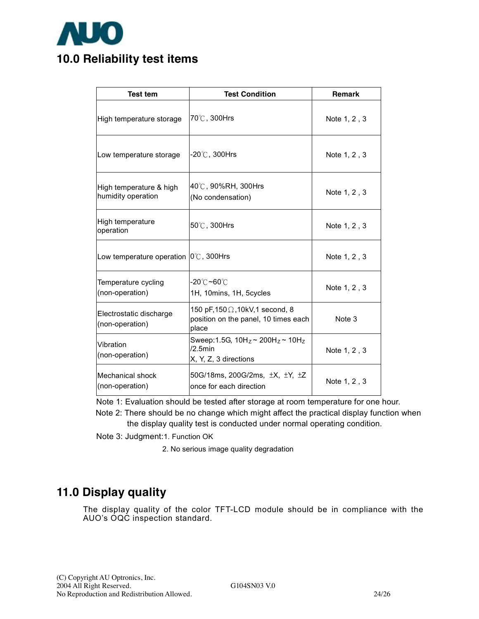

| <b>Test tem</b>                                         | <b>Test Condition</b>                                                                     | <b>Remark</b> |
|---------------------------------------------------------|-------------------------------------------------------------------------------------------|---------------|
| High temperature storage                                | 70℃, 300Hrs                                                                               | Note 1, 2, 3  |
| Low temperature storage                                 | $-20^{\circ}$ C , 300Hrs                                                                  | Note 1, 2, 3  |
| High temperature & high<br>humidity operation           | 40℃, 90%RH, 300Hrs<br>(No condensation)                                                   | Note 1, 2, 3  |
| High temperature<br>operation                           | $50^{\circ}$ C, 300Hrs                                                                    | Note 1, 2, 3  |
| Low temperature operation $ 0^{\circ}\text{C}$ , 300Hrs |                                                                                           | Note 1, 2, 3  |
| Temperature cycling<br>(non-operation)                  | -20℃ <b>~60℃</b><br>1H, 10mins, 1H, 5cycles                                               | Note 1, 2, 3  |
| Electrostatic discharge<br>(non-operation)              | 150 pF, 150 $\Omega$ , 10kV, 1 second, 8<br>position on the panel, 10 times each<br>place | Note 3        |
| Vibration<br>(non-operation)                            | Sweep: 1.5G, $10H_z \sim 200H_z \sim 10H_z$<br>$/2.5$ min<br>X, Y, Z, 3 directions        | Note 1, 2, 3  |
| <b>Mechanical shock</b><br>(non-operation)              | 50G/18ms, 200G/2ms, $\pm X$ , $\pm Y$ , $\pm Z$<br>once for each direction                | Note 1, 2, 3  |

Note 1: Evaluation should be tested after storage at room temperature for one hour.

 Note 2: There should be no change which might affect the practical display function when the display quality test is conducted under normal operating condition.

Note 3: Judgment:1. Function OK

2. No serious image quality degradation

## **11.0 Display quality**

The display quality of the color TFT-LCD module should be in compliance with the AUO's OQC inspection standard.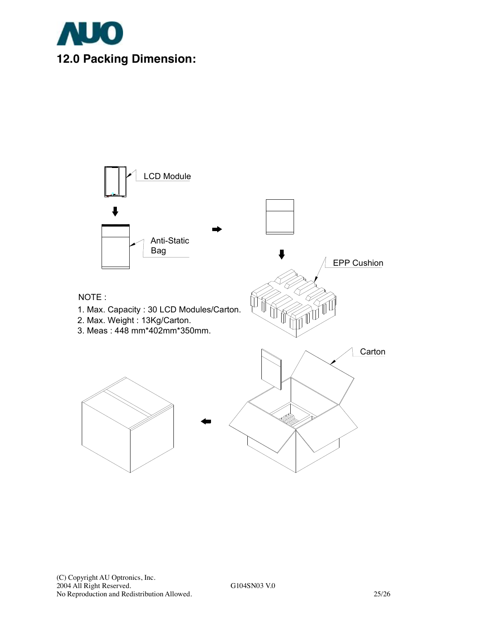